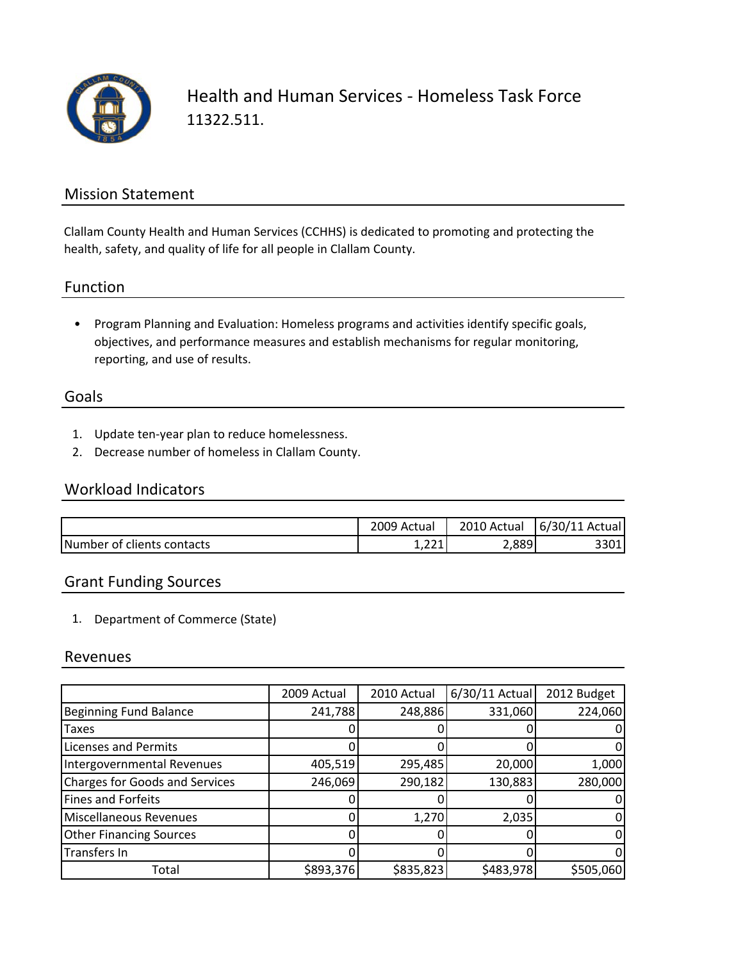

Health and Human Services ‐ Homeless Task Force 11322.511.

#### Mission Statement

Clallam County Health and Human Services (CCHHS) is dedicated to promoting and protecting the health, safety, and quality of life for all people in Clallam County.

#### Function

• Program Planning and Evaluation: Homeless programs and activities identify specific goals, objectives, and performance measures and establish mechanisms for regular monitoring, reporting, and use of results.

### Goals

- 1. Update ten‐year plan to reduce homelessness.
- 2. Decrease number of homeless in Clallam County.

### Workload Indicators

|                            | 2009 Actual  | 2010 Actual | 6/30/11 Actual |
|----------------------------|--------------|-------------|----------------|
| Number of clients contacts | 221<br>1,441 | 2,889       | 301            |

## Grant Funding Sources

1. Department of Commerce (State)

#### Revenues

|                                       | 2009 Actual | 2010 Actual | 6/30/11 Actual | 2012 Budget |
|---------------------------------------|-------------|-------------|----------------|-------------|
| <b>Beginning Fund Balance</b>         | 241,788     | 248,886     | 331,060        | 224,060     |
| Taxes                                 |             |             |                |             |
| <b>Licenses and Permits</b>           |             |             |                |             |
| Intergovernmental Revenues            | 405,519     | 295,485     | 20,000         | 1,000       |
| <b>Charges for Goods and Services</b> | 246,069     | 290,182     | 130,883        | 280,000     |
| <b>Fines and Forfeits</b>             |             |             |                |             |
| <b>Miscellaneous Revenues</b>         |             | 1,270       | 2,035          |             |
| <b>Other Financing Sources</b>        |             |             |                |             |
| Transfers In                          |             |             |                |             |
| Total                                 | \$893,376   | \$835,823   | \$483,978      | \$505,060   |